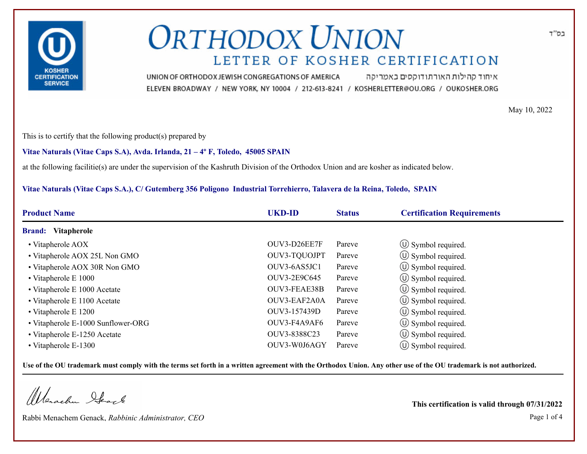

איחוד קהילות האורתודוקסים באמריקה UNION OF ORTHODOX JEWISH CONGREGATIONS OF AMERICA ELEVEN BROADWAY / NEW YORK, NY 10004 / 212-613-8241 / KOSHERLETTER@OU.ORG / OUKOSHER.ORG

May 10, 2022

This is to certify that the following product(s) prepared by

### **Vitae Naturals (Vitae Caps S.A), Avda. Irlanda, 21 – 4º F, Toledo, 45005 SPAIN**

at the following facilitie(s) are under the supervision of the Kashruth Division of the Orthodox Union and are kosher as indicated below.

### **Vitae Naturals (Vitae Caps S.A.), C/ Gutemberg 356 Poligono Industrial Torrehierro, Talavera de la Reina, Toledo, SPAIN**

| <b>Product Name</b>                | <b>UKD-ID</b> | <b>Status</b> | <b>Certification Requirements</b> |
|------------------------------------|---------------|---------------|-----------------------------------|
| <b>Brand:</b> Vitapherole          |               |               |                                   |
| • Vitapherole AOX                  | OUV3-D26EE7F  | Pareve        | $\circ$ Symbol required.          |
| • Vitapherole AOX 25L Non GMO      | OUV3-TQUOJPT  | Pareve        | $\circled{1}$ Symbol required.    |
| • Vitapherole AOX 30R Non GMO      | OUV3-6AS5JC1  | Pareve        | $\circled{1}$ Symbol required.    |
| $\bullet$ Vitapherole E 1000       | OUV3-2E9C645  | Pareve        | $\circ$ Symbol required.          |
| • Vitapherole E 1000 Acetate       | OUV3-FEAE38B  | Pareve        | $\circled{1}$ Symbol required.    |
| • Vitapherole E 1100 Acetate       | OUV3-EAF2A0A  | Pareve        | $\circled{1}$ Symbol required.    |
| • Vitapherole E 1200               | OUV3-157439D  | Pareve        | (U) Symbol required.              |
| • Vitapherole E-1000 Sunflower-ORG | OUV3-F4A9AF6  | Pareve        | $\circ$ Symbol required.          |
| • Vitapherole E-1250 Acetate       | OUV3-8388C23  | Pareve        | $\circled{1}$ Symbol required.    |
| • Vitapherole E-1300               | OUV3-W0J6AGY  | Pareve        | $\circ$ Symbol required.          |

**Use of the OU trademark must comply with the terms set forth in a written agreement with the Orthodox Union. Any other use of the OU trademark is not authorized.**

Werschn Heart

Rabbi Menachem Genack, *Rabbinic Administrator, CEO* Page 1 of 4

**This certification is valid through 07/31/2022**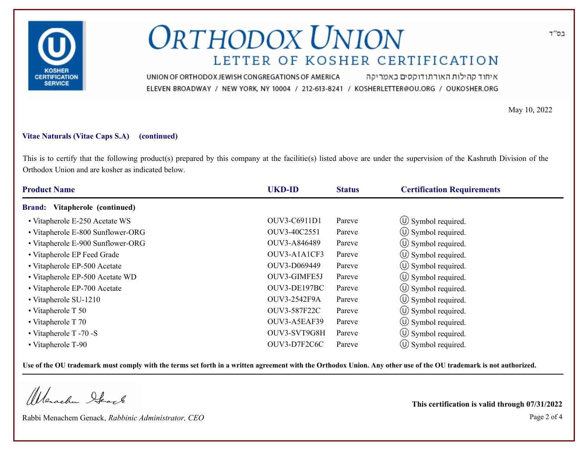

איחוד קהילות האורתודוקסים באמריקה UNION OF ORTHODOX JEWISH CONGREGATIONS OF AMERICA ELEVEN BROADWAY / NEW YORK, NY 10004 / 212-613-8241 / KOSHERLETTER@OU.ORG / OUKOSHER.ORG

May 10, 2022

#### **Vitae Naturals (Vitae Caps S.A) (continued)**

This is to certify that the following product(s) prepared by this company at the facilitie(s) listed above are under the supervision of the Kashruth Division of the Orthodox Union and are kosher as indicated below.

| <b>Product Name</b>                      | <b>UKD-ID</b> | <b>Status</b> | <b>Certification Requirements</b> |
|------------------------------------------|---------------|---------------|-----------------------------------|
| Vitapherole (continued)<br><b>Brand:</b> |               |               |                                   |
| • Vitapherole E-250 Acetate WS           | OUV3-C6911D1  | Pareve        | $\circled{1}$ Symbol required.    |
| • Vitapherole E-800 Sunflower-ORG        | OUV3-40C2551  | Pareve        | $\circ$ Symbol required.          |
| • Vitapherole E-900 Sunflower-ORG        | OUV3-A846489  | Pareve        | $\circled{1}$ Symbol required.    |
| • Vitapherole EP Feed Grade              | OUV3-A1A1CF3  | Pareve        | $\circ$ Symbol required.          |
| • Vitapherole EP-500 Acetate             | OUV3-D069449  | Pareve        | $\circ$ Symbol required.          |
| • Vitapherole EP-500 Acetate WD          | OUV3-GIMFE5J  | Pareve        | $(\cup)$ Symbol required.         |
| • Vitapherole EP-700 Acetate             | OUV3-DE197BC  | Pareve        | $\circ$ Symbol required.          |
| • Vitapherole SU-1210                    | OUV3-2542F9A  | Pareve        | (U) Symbol required.              |
| • Vitapherole T 50                       | OUV3-587F22C  | Pareve        | $\circ$ Symbol required.          |
| • Vitapherole $T$ 70                     | OUV3-A5EAF39  | Pareve        | $\left(\bigcup$ Symbol required.  |
| $\bullet$ Vitapherole T -70 -S           | OUV3-SVT9G8H  | Pareve        | $\circ$ Symbol required.          |
| • Vitapherole T-90                       | OUV3-D7F2C6C  | Pareve        | $\circ$ Symbol required.          |

**Use of the OU trademark must comply with the terms set forth in a written agreement with the Orthodox Union. Any other use of the OU trademark is not authorized.**

Werschn Stack

Rabbi Menachem Genack, *Rabbinic Administrator, CEO* Page 2 of 4

**This certification is valid through 07/31/2022**

בס"ד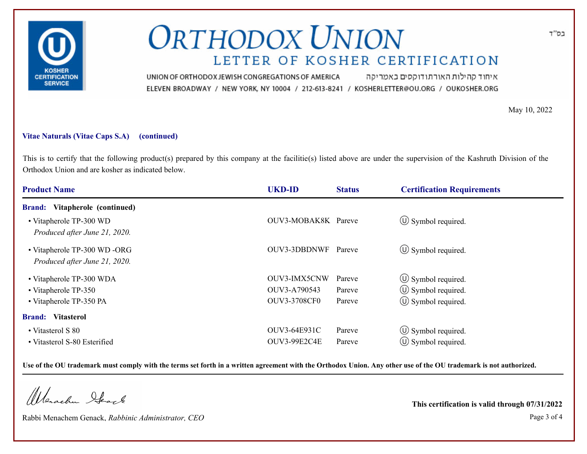

איחוד קהילות האורתודוקסים באמריקה UNION OF ORTHODOX JEWISH CONGREGATIONS OF AMERICA ELEVEN BROADWAY / NEW YORK, NY 10004 / 212-613-8241 / KOSHERLETTER@OU.ORG / OUKOSHER.ORG

May 10, 2022

### **Vitae Naturals (Vitae Caps S.A) (continued)**

This is to certify that the following product(s) prepared by this company at the facilitie(s) listed above are under the supervision of the Kashruth Division of the Orthodox Union and are kosher as indicated below.

| <b>UKD-ID</b>       | <b>Status</b> | <b>Certification Requirements</b>   |
|---------------------|---------------|-------------------------------------|
|                     |               |                                     |
|                     |               | $\circled{1}$ Symbol required.      |
|                     | Pareve        | $\circled{0}$ Symbol required.      |
| OUV3-IMX5CNW        | Pareve        | $\circled{1}$ Symbol required.      |
| OUV3-A790543        | Pareve        | $\circled{1}$ Symbol required.      |
| <b>OUV3-3708CF0</b> | Pareve        | $\circ$ Symbol required.            |
|                     |               |                                     |
| OUV3-64E931C        | Pareve        | $\circled{1}$ Symbol required.      |
| OUV3-99E2C4E        | Pareve        | $\circ$ Symbol required.            |
|                     |               | OUV3-MOBAK8K Pareve<br>OUV3-3DBDNWF |

**Use of the OU trademark must comply with the terms set forth in a written agreement with the Orthodox Union. Any other use of the OU trademark is not authorized.**

Werachen Stack

Rabbi Menachem Genack, *Rabbinic Administrator, CEO* Page 3 of 4

**This certification is valid through 07/31/2022**

בס"ד